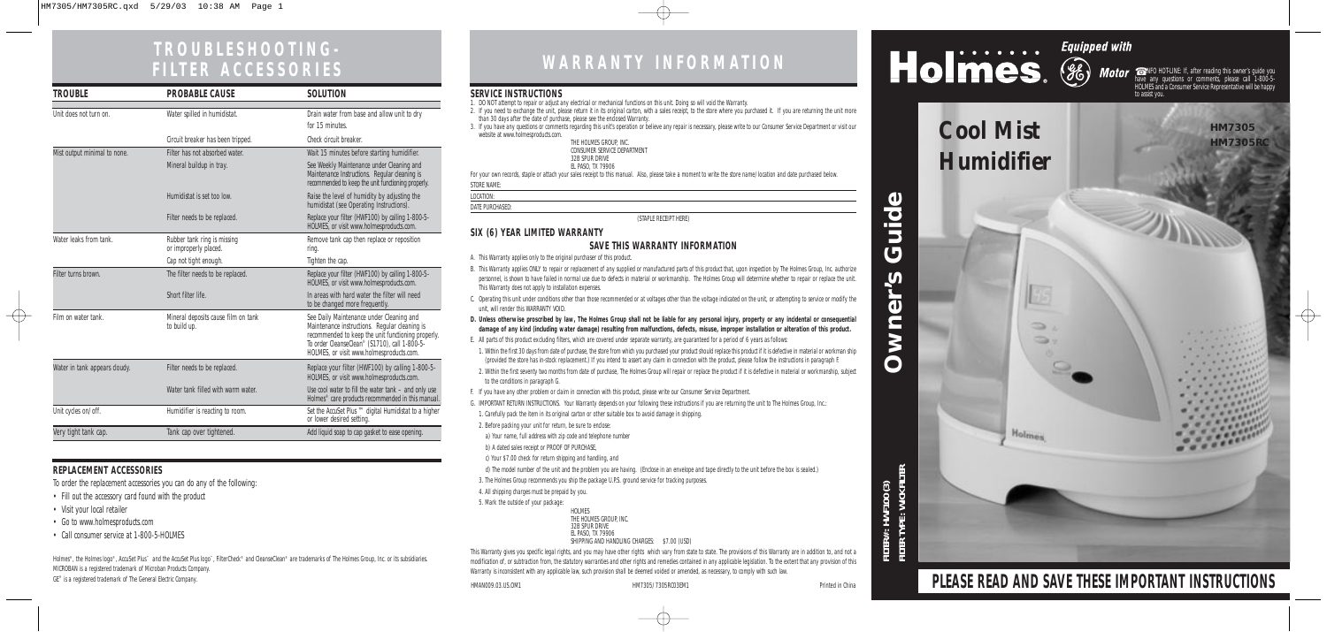# **WARRANTY INFORMATION**

**FILTER# : HWF100 (3) FILTER TYPE : WICK FILTER**





# **PLEASE READ AND SAVE THESE IMPORTANT INSTRUCTIONS**

### **SERVICE INSTRUCTIONS**

- 1. DO NOT attempt to repair or adjust any electrical or mechanical functions on this unit. Doing so will void the Warranty.
- 2. If you need to exchange the unit, please return it in its original carton, with a sales receipt, to the store where you purchased it. If you are returning the unit more than 30 days after the date of purchase, please see the enclosed Warranty.
- 3. If you have any questions or comments regarding this unit's operation or believe any repair is necessary, please write to our Consumer Service Department or visit our website at www.holmesproducts.com.

| THE HOLMES GROUP. INC.      |  |  |
|-----------------------------|--|--|
| CONSUMER SERVICE DEPARTMENT |  |  |
| 32B SPUR DRIVE              |  |  |
| EL PASO. TX 79906           |  |  |

EL PASO, TX 79906<br>For your own records, staple or attach your sales receipt to this manual. Also, please take a moment to write the store name/location and date purchased below.

STORE NAME:

LOCATION: DATE PURCHASED:

(STAPLE RECEIPT HERE)

## **SIX (6) YEAR LIMITED WARRANTY**

## **SAVE THIS WARRANTY INFORMATION**

- A. This Warranty applies only to the original purchaser of this product.
- B. This Warranty applies ONLY to repair or replacement of any supplied or manufactured parts of this product that, upon inspection by The Holmes Group, Inc. authorize personnel, is shown to have failed in normal use due to defects in material or workmanship. The Holmes Group will determine whether to repair or replace the unit. This Warranty does not apply to installation expenses.
- C. Operating this unit under conditions other than those recommended or at voltages other than the voltage indicated on the unit, or attempting to service or modify the unit, will render this WARRANTY VOID.
- **D. Unless otherwise proscribed by law, The Holmes Group shall not be liable for any personal injury, property or any incidental or consequential damage of any kind (including water damage) resulting from malfunctions, defects, misuse, improper installation or alteration of this product.**
- E. All parts of this product excluding filters, which are covered under separate warranty, are guaranteed for a period of 6 years as follows:
- 1. Within the first 30 days from date of purchase, the store from which you purchased your product should replace this product if it is defective in material or workman ship (provided the store has in-stock replacement.) If you intend to assert any claim in connection with the product, please follow the instructions in paragraph F.
- 2. Within the first seventy two months from date of purchase, The Holmes Group will repair or replace the product if it is defective in material or workmanship, subject to the conditions in paragraph G.
- F. If you have any other problem or claim in connection with this product, please write our Consumer Service Department.
- G. IMPORTANT RETURN INSTRUCTIONS. Your Warranty depends on your following these instructions if you are returning the unit to The Holmes Group, Inc.:

Holmes®, the Holmes logo®, AccuSet Plus™ and the AccuSet Plus logo™, FilterCheck® and CleanseClean® are trademarks of The Holmes Group, Inc. or its subsidiaries. MICROBAN is a registered trademark of Microban Products Company. GE® is a registered trademark of The General Electric Company.

1. Carefully pack the item in its original carton or other suitable box to avoid damage in shipping.

- 2. Before packing your unit for return, be sure to enclose:
- a) Your name, full address with zip code and telephone number
- b) A dated sales receipt or PROOF OF PURCHASE,
- c) Your \$7.00 check for return shipping and handling, and

d) The model number of the unit and the problem you are having. (Enclose in an envelope and tape directly to the unit before the box is sealed.)

- 3. The Holmes Group recommends you ship the package U.P.S. ground service for tracking purposes.
- 4. All shipping charges must be prepaid by you.
- 5. Mark the outside of your package:

| <b>HOLMES</b>                  |              |
|--------------------------------|--------------|
| THE HOLMES GROUP. INC.         |              |
| 32B SPUR DRIVE                 |              |
| EL PASO, TX 79906              |              |
| SHIPPING AND HANDLING CHARGES: | \$7.00 (USD) |
|                                |              |

This Warranty gives you specific legal rights, and you may have other rights which vary from state to state. The provisions of this Warranty are in addition to, and not a modification of, or subtraction from, the statutory warranties and other rights and remedies contained in any applicable legislation. To the extent that any provision of this Warranty is inconsistent with any applicable law, such provision shall be deemed voided or amended, as necessary, to comply with such law.

HMAN009.03.US.OM1 HM7305/7305RC03EM1 Printed in China



# **TROUBLESHOOTING-FILTER ACCESSORIES**

# **REPLACEMENT ACCESSORIES**

To order the replacement accessories you can do any of the following:

- Fill out the accessory card found with the product
- Visit your local retailer

 $\overline{\oplus}$ 

- Go to www.holmesproducts.com
- Call consumer service at 1-800-5-HOLMES

| TROUBLE                       | <b>PROBABLE CAUSE</b>                                | <b>SOLUTION</b>                                                                                                                                                                                                                                          |
|-------------------------------|------------------------------------------------------|----------------------------------------------------------------------------------------------------------------------------------------------------------------------------------------------------------------------------------------------------------|
| Unit does not turn on.        | Water spilled in humidistat.                         | Drain water from base and allow unit to dry<br>for 15 minutes.                                                                                                                                                                                           |
|                               | Circuit breaker has been tripped.                    | Check circuit breaker.                                                                                                                                                                                                                                   |
| Mist output minimal to none.  | Filter has not absorbed water.                       | Wait 15 minutes before starting humidifier.                                                                                                                                                                                                              |
|                               | Mineral buildup in tray.                             | See Weekly Maintenance under Cleaning and<br>Maintenance Instructions. Regular cleaning is<br>recommended to keep the unit functioning properly.                                                                                                         |
|                               | Humidistat is set too low.                           | Raise the level of humidity by adjusting the<br>humidistat (see Operating Instructions).                                                                                                                                                                 |
|                               | Filter needs to be replaced.                         | Replace your filter (HWF100) by calling 1-800-5-<br>HOLMES, or visit www.holmesproducts.com.                                                                                                                                                             |
| Water leaks from tank         | Rubber tank ring is missing<br>or improperly placed. | Remove tank cap then replace or reposition<br>ring.                                                                                                                                                                                                      |
|                               | Cap not tight enough.                                | Tighten the cap.                                                                                                                                                                                                                                         |
| Filter turns brown.           | The filter needs to be replaced.                     | Replace your filter (HWF100) by calling 1-800-5-<br>HOLMES, or visit www.holmesproducts.com.                                                                                                                                                             |
|                               | Short filter life.                                   | In areas with hard water the filter will need<br>to be changed more frequently.                                                                                                                                                                          |
| Film on water tank.           | Mineral deposits cause film on tank<br>to build up.  | See Daily Maintenance under Cleaning and<br>Maintenance instructions. Regular cleaning is<br>recommended to keep the unit functioning properly.<br>To order CleanseClean <sup>®</sup> (S1710), call 1-800-5-<br>HOLMES, or visit www.holmesproducts.com. |
| Water in tank appears cloudy. | Filter needs to be replaced.                         | Replace your filter (HWF100) by calling 1-800-5-<br>HOLMES, or visit www.holmesproducts.com.                                                                                                                                                             |
|                               | Water tank filled with warm water.                   | Use cool water to fill the water $tanh -$ and only use<br>Holmes <sup>®</sup> care products recommended in this manual.                                                                                                                                  |
| Unit cycles on/off.           | Humidifier is reacting to room.                      | Set the AccuSet Plus ™ digital Humidistat to a higher<br>or lower desired setting.                                                                                                                                                                       |
| Very tight tank cap.          | Tank cap over tightened.                             | Add liquid soap to cap gasket to ease opening.                                                                                                                                                                                                           |

☎ INFO HOT-LINE: If, after reading this owner's guide you have any questions or comments, please call 1-800-5- HOLMES and a Consumer Service Representative will be happy to assist you.